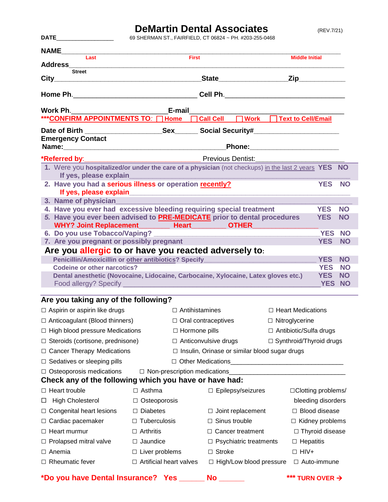## **DeMartin Dental Associates** *REV.7/21)*

| <b>DATE</b><br>the control of the control of the                                        |                                                                                                     |                                     | 69 SHERMAN ST., FAIRFIELD, CT 06824 ~ PH. #203-255-0468 |  |                          |                          |           |  |  |
|-----------------------------------------------------------------------------------------|-----------------------------------------------------------------------------------------------------|-------------------------------------|---------------------------------------------------------|--|--------------------------|--------------------------|-----------|--|--|
| Last                                                                                    |                                                                                                     | First                               |                                                         |  | <b>Middle Initial</b>    |                          |           |  |  |
|                                                                                         |                                                                                                     |                                     |                                                         |  |                          |                          |           |  |  |
| Address<br>Street                                                                       |                                                                                                     |                                     |                                                         |  |                          |                          |           |  |  |
| Home Ph.___________________________________Cell Ph._____________________________        |                                                                                                     |                                     |                                                         |  |                          |                          |           |  |  |
|                                                                                         |                                                                                                     |                                     |                                                         |  |                          |                          |           |  |  |
| Work Ph.<br>***CONFIRM APPOINTMENTS TO: THome T Call Cell T Work T Text to Cell/Email   |                                                                                                     |                                     |                                                         |  |                          |                          |           |  |  |
| Date of Birth _______________________Sex_________Social Security#______________________ |                                                                                                     |                                     |                                                         |  |                          |                          |           |  |  |
| <b>Emergency Contact</b>                                                                |                                                                                                     |                                     |                                                         |  |                          |                          |           |  |  |
|                                                                                         |                                                                                                     |                                     |                                                         |  |                          |                          |           |  |  |
|                                                                                         | 1. Were you hospitalized/or under the care of a physician (not checkups) in the last 2 years YES NO |                                     |                                                         |  |                          |                          |           |  |  |
| If yes, please explain____                                                              |                                                                                                     |                                     |                                                         |  |                          |                          |           |  |  |
| 2. Have you had a serious illness or operation recently?                                |                                                                                                     |                                     |                                                         |  |                          | <b>YES</b>               | <b>NO</b> |  |  |
| 3. Name of physician                                                                    |                                                                                                     |                                     |                                                         |  |                          |                          |           |  |  |
| 4. Have you ever had excessive bleeding requiring special treatment                     |                                                                                                     |                                     |                                                         |  |                          | <b>YES</b>               | <b>NO</b> |  |  |
| 5. Have you ever been advised to <b>PRE-MEDICATE</b> prior to dental procedures         |                                                                                                     |                                     |                                                         |  |                          | <b>YES</b>               | <b>NO</b> |  |  |
| WHY? Joint Replacement__________ Heart__________ OTHER__________________________        |                                                                                                     |                                     |                                                         |  |                          | YES NO                   |           |  |  |
| 7. Are you pregnant or possibly pregnant                                                |                                                                                                     |                                     |                                                         |  |                          | <b>YES</b>               | <b>NO</b> |  |  |
| Are you allergic to or have you reacted adversely to:                                   |                                                                                                     |                                     |                                                         |  |                          |                          |           |  |  |
| Penicillin/Amoxicillin or other antibiotics? Specify____________________________        |                                                                                                     |                                     |                                                         |  |                          | <b>YES</b>               | <b>NO</b> |  |  |
| <b>Codeine or other narcotics?</b>                                                      |                                                                                                     |                                     |                                                         |  |                          | <b>YES</b>               | <b>NO</b> |  |  |
| Dental anesthetic (Novocaine, Lidocaine, Carbocaine, Xylocaine, Latex gloves etc.)      |                                                                                                     |                                     |                                                         |  | <b>YES</b><br>YES NO     | <b>NO</b>                |           |  |  |
|                                                                                         |                                                                                                     |                                     |                                                         |  |                          |                          |           |  |  |
| Are you taking any of the following?                                                    |                                                                                                     |                                     |                                                         |  |                          |                          |           |  |  |
| $\Box$ Aspirin or aspirin like drugs                                                    |                                                                                                     | □ Antihistamines                    |                                                         |  |                          | $\Box$ Heart Medications |           |  |  |
| $\Box$ Anticoagulant (Blood thinners) $\Box$ Oral contraceptives                        |                                                                                                     |                                     |                                                         |  | □ Nitroglycerine         |                          |           |  |  |
| $\Box$ High blood pressure Medications                                                  |                                                                                                     |                                     | □ Hormone pills                                         |  | □ Antibiotic/Sulfa drugs |                          |           |  |  |
| □ Steroids (cortisone, prednisone)                                                      |                                                                                                     | □ Anticonvulsive drugs              | □ Synthroid/Thyroid drugs                               |  |                          |                          |           |  |  |
| $\Box$ Cancer Therapy Medications                                                       |                                                                                                     |                                     | $\Box$ Insulin, Orinase or similar blood sugar drugs    |  |                          |                          |           |  |  |
| $\Box$ Sedatives or sleeping pills                                                      |                                                                                                     | □ Other Medications                 |                                                         |  |                          |                          |           |  |  |
| $\Box$ Osteoporosis medications                                                         |                                                                                                     | $\Box$ Non-prescription medications |                                                         |  |                          |                          |           |  |  |
| Check any of the following which you have or have had:                                  |                                                                                                     |                                     |                                                         |  |                          |                          |           |  |  |
| $\Box$ Heart trouble                                                                    | $\Box$ Asthma                                                                                       |                                     | $\Box$ Epilepsy/seizures                                |  | □Clotting problems/      |                          |           |  |  |
| <b>High Cholesterol</b><br>ப                                                            | $\Box$ Osteoporosis                                                                                 |                                     |                                                         |  | bleeding disorders       |                          |           |  |  |
| $\Box$ Congenital heart lesions                                                         | $\Box$ Diabetes                                                                                     |                                     | $\Box$ Joint replacement                                |  | $\Box$ Blood disease     |                          |           |  |  |
| $\Box$ Cardiac pacemaker                                                                | $\Box$ Tuberculosis                                                                                 |                                     | $\Box$ Sinus trouble                                    |  | $\Box$ Kidney problems   |                          |           |  |  |
| $\Box$ Heart murmur                                                                     | $\Box$ Arthritis                                                                                    |                                     | Cancer treatment<br>$\Box$                              |  | $\Box$ Thyroid disease   |                          |           |  |  |
| $\Box$ Prolapsed mitral valve                                                           | $\Box$ Jaundice                                                                                     |                                     | $\Box$ Psychiatric treatments                           |  | $\Box$ Hepatitis         |                          |           |  |  |
| $\Box$ Anemia                                                                           | $\Box$ Liver problems                                                                               | $\Box$ Stroke                       |                                                         |  | $\Box$ HIV+              |                          |           |  |  |
| $\Box$ Rheumatic fever                                                                  |                                                                                                     | $\Box$ Artificial heart valves      | □ High/Low blood pressure                               |  | $\Box$ Auto-immune       |                          |           |  |  |
| *Do you have Dental Insurance? Yes                                                      |                                                                                                     |                                     | <b>No</b>                                               |  | *** TURN OVER >          |                          |           |  |  |